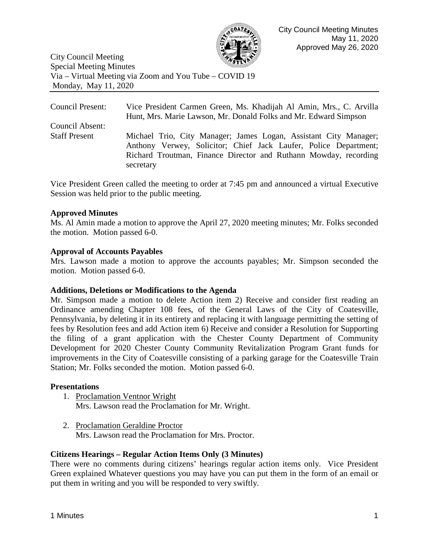

City Council Meeting Special Meeting Minutes Via – Virtual Meeting via Zoom and You Tube – COVID 19 Monday, May 11, 2020

Council Present: Vice President Carmen Green, Ms. Khadijah Al Amin, Mrs., C. Arvilla Hunt, Mrs. Marie Lawson, Mr. Donald Folks and Mr. Edward Simpson Council Absent: Staff Present Michael Trio, City Manager; James Logan, Assistant City Manager; Anthony Verwey, Solicitor; Chief Jack Laufer, Police Department; Richard Troutman, Finance Director and Ruthann Mowday, recording secretary

Vice President Green called the meeting to order at 7:45 pm and announced a virtual Executive Session was held prior to the public meeting.

#### **Approved Minutes**

Ms. Al Amin made a motion to approve the April 27, 2020 meeting minutes; Mr. Folks seconded the motion. Motion passed 6-0.

#### **Approval of Accounts Payables**

Mrs. Lawson made a motion to approve the accounts payables; Mr. Simpson seconded the motion. Motion passed 6-0.

#### **Additions, Deletions or Modifications to the Agenda**

Mr. Simpson made a motion to delete Action item 2) Receive and consider first reading an Ordinance amending Chapter 108 fees, of the General Laws of the City of Coatesville, Pennsylvania, by deleting it in its entirety and replacing it with language permitting the setting of fees by Resolution fees and add Action item 6) Receive and consider a Resolution for Supporting the filing of a grant application with the Chester County Department of Community Development for 2020 Chester County Community Revitalization Program Grant funds for improvements in the City of Coatesville consisting of a parking garage for the Coatesville Train Station; Mr. Folks seconded the motion. Motion passed 6-0.

#### **Presentations**

- 1. Proclamation Ventnor Wright Mrs. Lawson read the Proclamation for Mr. Wright.
- 2. Proclamation Geraldine Proctor Mrs. Lawson read the Proclamation for Mrs. Proctor.

## **Citizens Hearings – Regular Action Items Only (3 Minutes)**

There were no comments during citizens' hearings regular action items only. Vice President Green explained Whatever questions you may have you can put them in the form of an email or put them in writing and you will be responded to very swiftly.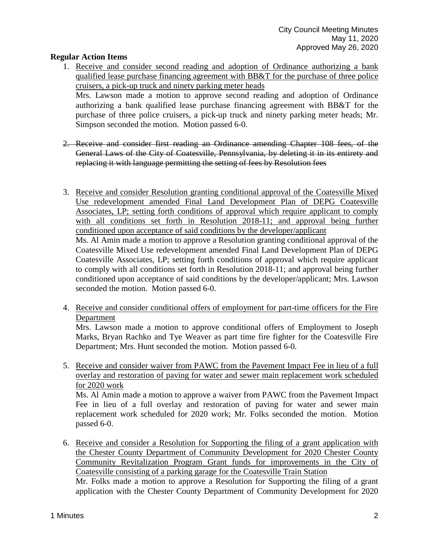### **Regular Action Items**

1. Receive and consider second reading and adoption of Ordinance authorizing a bank qualified lease purchase financing agreement with BB&T for the purchase of three police cruisers, a pick-up truck and ninety parking meter heads

Mrs. Lawson made a motion to approve second reading and adoption of Ordinance authorizing a bank qualified lease purchase financing agreement with BB&T for the purchase of three police cruisers, a pick-up truck and ninety parking meter heads; Mr. Simpson seconded the motion. Motion passed 6-0.

- 2. Receive and consider first reading an Ordinance amending Chapter 108 fees, of the General Laws of the City of Coatesville, Pennsylvania, by deleting it in its entirety and replacing it with language permitting the setting of fees by Resolution fees
- 3. Receive and consider Resolution granting conditional approval of the Coatesville Mixed Use redevelopment amended Final Land Development Plan of DEPG Coatesville Associates, LP; setting forth conditions of approval which require applicant to comply with all conditions set forth in Resolution 2018-11; and approval being further conditioned upon acceptance of said conditions by the developer/applicant Ms. Al Amin made a motion to approve a Resolution granting conditional approval of the Coatesville Mixed Use redevelopment amended Final Land Development Plan of DEPG Coatesville Associates, LP; setting forth conditions of approval which require applicant to comply with all conditions set forth in Resolution 2018-11; and approval being further conditioned upon acceptance of said conditions by the developer/applicant; Mrs. Lawson
- 4. Receive and consider conditional offers of employment for part-time officers for the Fire Department

seconded the motion. Motion passed 6-0.

Mrs. Lawson made a motion to approve conditional offers of Employment to Joseph Marks, Bryan Rachko and Tye Weaver as part time fire fighter for the Coatesville Fire Department; Mrs. Hunt seconded the motion. Motion passed 6-0.

5. Receive and consider waiver from PAWC from the Pavement Impact Fee in lieu of a full overlay and restoration of paving for water and sewer main replacement work scheduled for 2020 work

Ms. Al Amin made a motion to approve a waiver from PAWC from the Pavement Impact Fee in lieu of a full overlay and restoration of paving for water and sewer main replacement work scheduled for 2020 work; Mr. Folks seconded the motion. Motion passed 6-0.

6. Receive and consider a Resolution for Supporting the filing of a grant application with the Chester County Department of Community Development for 2020 Chester County Community Revitalization Program Grant funds for improvements in the City of Coatesville consisting of a parking garage for the Coatesville Train Station Mr. Folks made a motion to approve a Resolution for Supporting the filing of a grant application with the Chester County Department of Community Development for 2020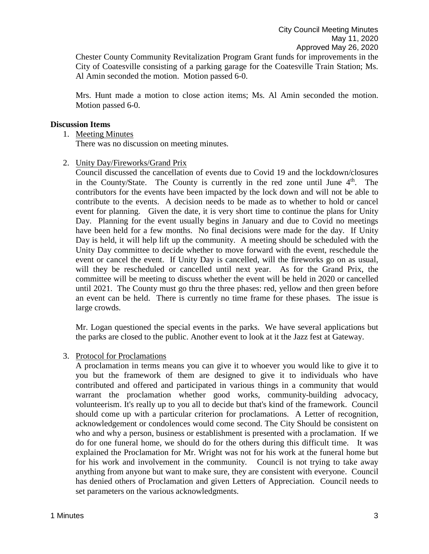Chester County Community Revitalization Program Grant funds for improvements in the City of Coatesville consisting of a parking garage for the Coatesville Train Station; Ms. Al Amin seconded the motion. Motion passed 6-0.

Mrs. Hunt made a motion to close action items; Ms. Al Amin seconded the motion. Motion passed 6-0.

#### **Discussion Items**

#### 1. Meeting Minutes

There was no discussion on meeting minutes.

2. Unity Day/Fireworks/Grand Prix

Council discussed the cancellation of events due to Covid 19 and the lockdown/closures in the County/State. The County is currently in the red zone until June  $4<sup>th</sup>$ . The contributors for the events have been impacted by the lock down and will not be able to contribute to the events. A decision needs to be made as to whether to hold or cancel event for planning. Given the date, it is very short time to continue the plans for Unity Day. Planning for the event usually begins in January and due to Covid no meetings have been held for a few months. No final decisions were made for the day. If Unity Day is held, it will help lift up the community. A meeting should be scheduled with the Unity Day committee to decide whether to move forward with the event, reschedule the event or cancel the event. If Unity Day is cancelled, will the fireworks go on as usual, will they be rescheduled or cancelled until next year. As for the Grand Prix, the committee will be meeting to discuss whether the event will be held in 2020 or cancelled until 2021. The County must go thru the three phases: red, yellow and then green before an event can be held. There is currently no time frame for these phases. The issue is large crowds.

Mr. Logan questioned the special events in the parks. We have several applications but the parks are closed to the public. Another event to look at it the Jazz fest at Gateway.

#### 3. Protocol for Proclamations

A proclamation in terms means you can give it to whoever you would like to give it to you but the framework of them are designed to give it to individuals who have contributed and offered and participated in various things in a community that would warrant the proclamation whether good works, community-building advocacy, volunteerism. It's really up to you all to decide but that's kind of the framework. Council should come up with a particular criterion for proclamations. A Letter of recognition, acknowledgement or condolences would come second. The City Should be consistent on who and why a person, business or establishment is presented with a proclamation. If we do for one funeral home, we should do for the others during this difficult time. It was explained the Proclamation for Mr. Wright was not for his work at the funeral home but for his work and involvement in the community. Council is not trying to take away anything from anyone but want to make sure, they are consistent with everyone. Council has denied others of Proclamation and given Letters of Appreciation. Council needs to set parameters on the various acknowledgments.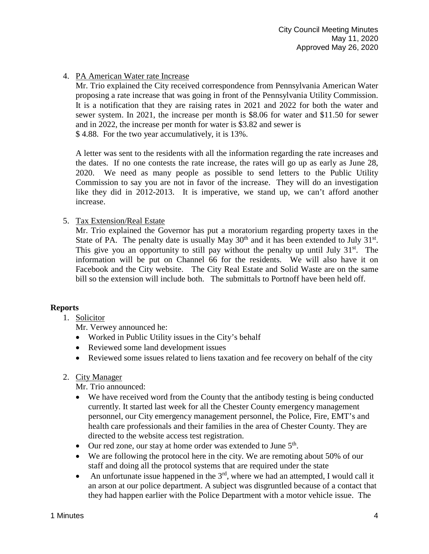## 4. PA American Water rate Increase

Mr. Trio explained the City received correspondence from Pennsylvania American Water proposing a rate increase that was going in front of the Pennsylvania Utility Commission. It is a notification that they are raising rates in 2021 and 2022 for both the water and sewer system. In 2021, the increase per month is \$8.06 for water and \$11.50 for sewer and in 2022, the increase per month for water is \$3.82 and sewer is \$ 4.88. For the two year accumulatively, it is 13%.

A letter was sent to the residents with all the information regarding the rate increases and the dates. If no one contests the rate increase, the rates will go up as early as June 28, 2020. We need as many people as possible to send letters to the Public Utility Commission to say you are not in favor of the increase. They will do an investigation like they did in 2012-2013. It is imperative, we stand up, we can't afford another increase.

#### 5. Tax Extension/Real Estate

Mr. Trio explained the Governor has put a moratorium regarding property taxes in the State of PA. The penalty date is usually May  $30<sup>th</sup>$  and it has been extended to July  $31<sup>st</sup>$ . This give you an opportunity to still pay without the penalty up until July  $31<sup>st</sup>$ . The information will be put on Channel 66 for the residents. We will also have it on Facebook and the City website. The City Real Estate and Solid Waste are on the same bill so the extension will include both. The submittals to Portnoff have been held off.

## **Reports**

1. Solicitor

Mr. Verwey announced he:

- Worked in Public Utility issues in the City's behalf
- Reviewed some land development issues
- Reviewed some issues related to liens taxation and fee recovery on behalf of the city

## 2. City Manager

Mr. Trio announced:

- We have received word from the County that the antibody testing is being conducted currently. It started last week for all the Chester County emergency management personnel, our City emergency management personnel, the Police, Fire, EMT's and health care professionals and their families in the area of Chester County. They are directed to the website access test registration.
- Our red zone, our stay at home order was extended to June  $5<sup>th</sup>$ .
- We are following the protocol here in the city. We are remoting about 50% of our staff and doing all the protocol systems that are required under the state
- An unfortunate issue happened in the  $3<sup>rd</sup>$ , where we had an attempted, I would call it an arson at our police department. A subject was disgruntled because of a contact that they had happen earlier with the Police Department with a motor vehicle issue. The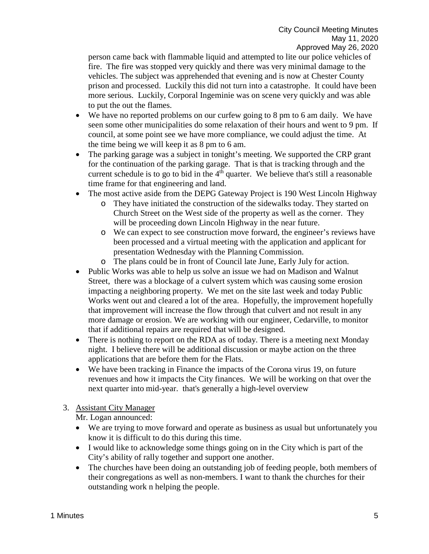person came back with flammable liquid and attempted to lite our police vehicles of fire. The fire was stopped very quickly and there was very minimal damage to the vehicles. The subject was apprehended that evening and is now at Chester County prison and processed. Luckily this did not turn into a catastrophe. It could have been more serious. Luckily, Corporal Ingeminie was on scene very quickly and was able to put the out the flames.

- We have no reported problems on our curfew going to 8 pm to 6 am daily. We have seen some other municipalities do some relaxation of their hours and went to 9 pm. If council, at some point see we have more compliance, we could adjust the time. At the time being we will keep it as 8 pm to 6 am.
- The parking garage was a subject in tonight's meeting. We supported the CRP grant for the continuation of the parking garage. That is that is tracking through and the current schedule is to go to bid in the  $4<sup>th</sup>$  quarter. We believe that's still a reasonable time frame for that engineering and land.
- The most active aside from the DEPG Gateway Project is 190 West Lincoln Highway
	- o They have initiated the construction of the sidewalks today. They started on Church Street on the West side of the property as well as the corner. They will be proceeding down Lincoln Highway in the near future.
	- o We can expect to see construction move forward, the engineer's reviews have been processed and a virtual meeting with the application and applicant for presentation Wednesday with the Planning Commission.
	- o The plans could be in front of Council late June, Early July for action.
- Public Works was able to help us solve an issue we had on Madison and Walnut Street, there was a blockage of a culvert system which was causing some erosion impacting a neighboring property. We met on the site last week and today Public Works went out and cleared a lot of the area. Hopefully, the improvement hopefully that improvement will increase the flow through that culvert and not result in any more damage or erosion. We are working with our engineer, Cedarville, to monitor that if additional repairs are required that will be designed.
- There is nothing to report on the RDA as of today. There is a meeting next Monday night. I believe there will be additional discussion or maybe action on the three applications that are before them for the Flats.
- We have been tracking in Finance the impacts of the Corona virus 19, on future revenues and how it impacts the City finances. We will be working on that over the next quarter into mid-year. that's generally a high-level overview

# 3. Assistant City Manager

Mr. Logan announced:

- We are trying to move forward and operate as business as usual but unfortunately you know it is difficult to do this during this time.
- I would like to acknowledge some things going on in the City which is part of the City's ability of rally together and support one another.
- The churches have been doing an outstanding job of feeding people, both members of their congregations as well as non-members. I want to thank the churches for their outstanding work n helping the people.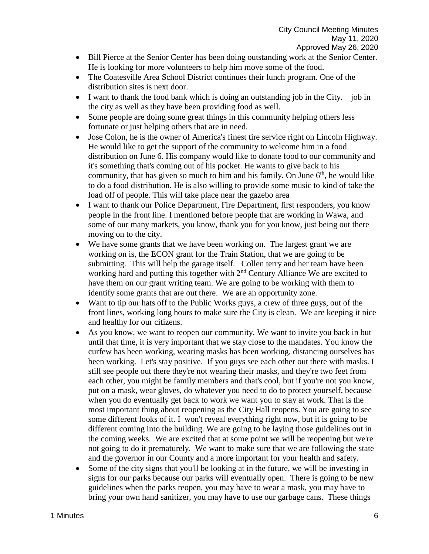- Bill Pierce at the Senior Center has been doing outstanding work at the Senior Center. He is looking for more volunteers to help him move some of the food.
- The Coatesville Area School District continues their lunch program. One of the distribution sites is next door.
- I want to thank the food bank which is doing an outstanding job in the City. job in the city as well as they have been providing food as well.
- Some people are doing some great things in this community helping others less fortunate or just helping others that are in need.
- Jose Colon, he is the owner of America's finest tire service right on Lincoln Highway. He would like to get the support of the community to welcome him in a food distribution on June 6. His company would like to donate food to our community and it's something that's coming out of his pocket. He wants to give back to his community, that has given so much to him and his family. On June  $6<sup>th</sup>$ , he would like to do a food distribution. He is also willing to provide some music to kind of take the load off of people. This will take place near the gazebo area
- I want to thank our Police Department, Fire Department, first responders, you know people in the front line. I mentioned before people that are working in Wawa, and some of our many markets, you know, thank you for you know, just being out there moving on to the city.
- We have some grants that we have been working on. The largest grant we are working on is, the ECON grant for the Train Station, that we are going to be submitting. This will help the garage itself. Collen terry and her team have been working hard and putting this together with 2<sup>nd</sup> Century Alliance We are excited to have them on our grant writing team. We are going to be working with them to identify some grants that are out there. We are an opportunity zone.
- Want to tip our hats off to the Public Works guys, a crew of three guys, out of the front lines, working long hours to make sure the City is clean. We are keeping it nice and healthy for our citizens.
- As you know, we want to reopen our community. We want to invite you back in but until that time, it is very important that we stay close to the mandates. You know the curfew has been working, wearing masks has been working, distancing ourselves has been working. Let's stay positive. If you guys see each other out there with masks. I still see people out there they're not wearing their masks, and they're two feet from each other, you might be family members and that's cool, but if you're not you know, put on a mask, wear gloves, do whatever you need to do to protect yourself, because when you do eventually get back to work we want you to stay at work. That is the most important thing about reopening as the City Hall reopens. You are going to see some different looks of it. I won't reveal everything right now, but it is going to be different coming into the building. We are going to be laying those guidelines out in the coming weeks. We are excited that at some point we will be reopening but we're not going to do it prematurely. We want to make sure that we are following the state and the governor in our County and a more important for your health and safety.
- Some of the city signs that you'll be looking at in the future, we will be investing in signs for our parks because our parks will eventually open. There is going to be new guidelines when the parks reopen, you may have to wear a mask, you may have to bring your own hand sanitizer, you may have to use our garbage cans. These things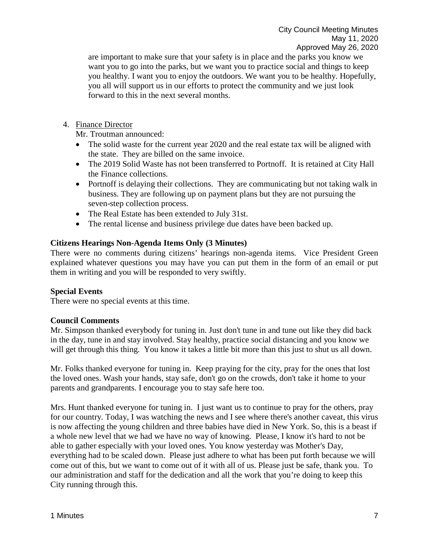are important to make sure that your safety is in place and the parks you know we want you to go into the parks, but we want you to practice social and things to keep you healthy. I want you to enjoy the outdoors. We want you to be healthy. Hopefully, you all will support us in our efforts to protect the community and we just look forward to this in the next several months.

4. Finance Director

Mr. Troutman announced:

- The solid waste for the current year 2020 and the real estate tax will be aligned with the state. They are billed on the same invoice.
- The 2019 Solid Waste has not been transferred to Portnoff. It is retained at City Hall the Finance collections.
- Portnoff is delaying their collections. They are communicating but not taking walk in business. They are following up on payment plans but they are not pursuing the seven-step collection process.
- The Real Estate has been extended to July 31st.
- The rental license and business privilege due dates have been backed up.

## **Citizens Hearings Non-Agenda Items Only (3 Minutes)**

There were no comments during citizens' hearings non-agenda items. Vice President Green explained whatever questions you may have you can put them in the form of an email or put them in writing and you will be responded to very swiftly.

## **Special Events**

There were no special events at this time.

## **Council Comments**

Mr. Simpson thanked everybody for tuning in. Just don't tune in and tune out like they did back in the day, tune in and stay involved. Stay healthy, practice social distancing and you know we will get through this thing. You know it takes a little bit more than this just to shut us all down.

Mr. Folks thanked everyone for tuning in. Keep praying for the city, pray for the ones that lost the loved ones. Wash your hands, stay safe, don't go on the crowds, don't take it home to your parents and grandparents. I encourage you to stay safe here too.

Mrs. Hunt thanked everyone for tuning in. I just want us to continue to pray for the others, pray for our country. Today, I was watching the news and I see where there's another caveat, this virus is now affecting the young children and three babies have died in New York. So, this is a beast if a whole new level that we had we have no way of knowing. Please, I know it's hard to not be able to gather especially with your loved ones. You know yesterday was Mother's Day, everything had to be scaled down. Please just adhere to what has been put forth because we will come out of this, but we want to come out of it with all of us. Please just be safe, thank you. To our administration and staff for the dedication and all the work that you're doing to keep this City running through this.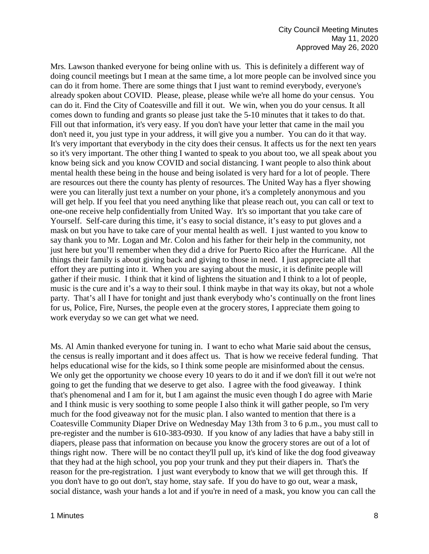Mrs. Lawson thanked everyone for being online with us. This is definitely a different way of doing council meetings but I mean at the same time, a lot more people can be involved since you can do it from home. There are some things that I just want to remind everybody, everyone's already spoken about COVID. Please, please, please while we're all home do your census. You can do it. Find the City of Coatesville and fill it out. We win, when you do your census. It all comes down to funding and grants so please just take the 5-10 minutes that it takes to do that. Fill out that information, it's very easy. If you don't have your letter that came in the mail you don't need it, you just type in your address, it will give you a number. You can do it that way. It's very important that everybody in the city does their census. It affects us for the next ten years so it's very important. The other thing I wanted to speak to you about too, we all speak about you know being sick and you know COVID and social distancing. I want people to also think about mental health these being in the house and being isolated is very hard for a lot of people. There are resources out there the county has plenty of resources. The United Way has a flyer showing were you can literally just text a number on your phone, it's a completely anonymous and you will get help. If you feel that you need anything like that please reach out, you can call or text to one-one receive help confidentially from United Way. It's so important that you take care of Yourself. Self-care during this time, it's easy to social distance, it's easy to put gloves and a mask on but you have to take care of your mental health as well. I just wanted to you know to say thank you to Mr. Logan and Mr. Colon and his father for their help in the community, not just here but you'll remember when they did a drive for Puerto Rico after the Hurricane. All the things their family is about giving back and giving to those in need. I just appreciate all that effort they are putting into it. When you are saying about the music, it is definite people will gather if their music. I think that it kind of lightens the situation and I think to a lot of people, music is the cure and it's a way to their soul. I think maybe in that way its okay, but not a whole party. That's all I have for tonight and just thank everybody who's continually on the front lines for us, Police, Fire, Nurses, the people even at the grocery stores, I appreciate them going to work everyday so we can get what we need.

Ms. Al Amin thanked everyone for tuning in. I want to echo what Marie said about the census, the census is really important and it does affect us. That is how we receive federal funding. That helps educational wise for the kids, so I think some people are misinformed about the census. We only get the opportunity we choose every 10 years to do it and if we don't fill it out we're not going to get the funding that we deserve to get also. I agree with the food giveaway. I think that's phenomenal and I am for it, but I am against the music even though I do agree with Marie and I think music is very soothing to some people I also think it will gather people, so I'm very much for the food giveaway not for the music plan. I also wanted to mention that there is a Coatesville Community Diaper Drive on Wednesday May 13th from 3 to 6 p.m., you must call to pre-register and the number is 610-383-0930. If you know of any ladies that have a baby still in diapers, please pass that information on because you know the grocery stores are out of a lot of things right now. There will be no contact they'll pull up, it's kind of like the dog food giveaway that they had at the high school, you pop your trunk and they put their diapers in. That's the reason for the pre-registration. I just want everybody to know that we will get through this. If you don't have to go out don't, stay home, stay safe. If you do have to go out, wear a mask, social distance, wash your hands a lot and if you're in need of a mask, you know you can call the